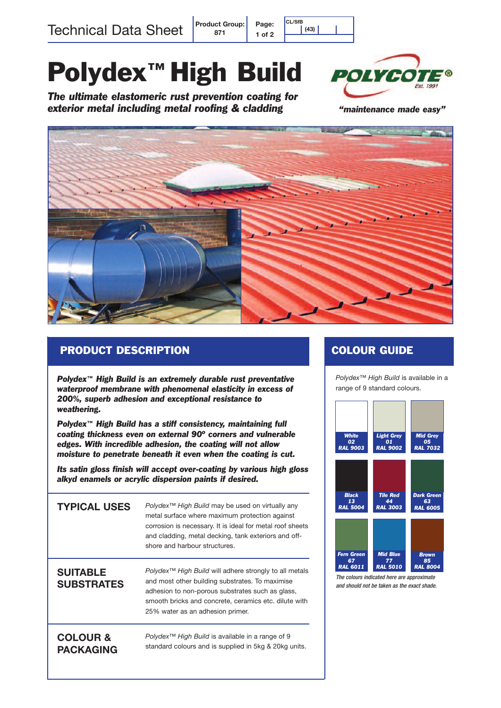Technical Data Sheet **Product Group:**

# **Polydex™High Build**

**871**

**Page: 1 of 2** **CL/SfB (43) (43) (43) (43)**

*The ultimate elastomeric rust prevention coating for exterior metal including metal roofing & cladding*



*"maintenance made easy"*



#### **PRODUCT DESCRIPTION**

*Polydex™ High Build is an extremely durable rust preventative waterproof membrane with phenomenal elasticity in excess of 200%, superb adhesion and exceptional resistance to weathering.*

*Polydex™ High Build has a stiff consistency, maintaining full coating thickness even on external 90º corners and vulnerable edges. With incredible adhesion, the coating will not allow moisture to penetrate beneath it even when the coating is cut.*

*Its satin gloss finish will accept over-coating by various high gloss alkyd enamels or acrylic dispersion paints if desired.*

| <b>TYPICAL USES</b>                     | <i>Polydex</i> <sup>™</sup> High Build may be used on virtually any<br>metal surface where maximum protection against<br>corrosion is necessary. It is ideal for metal roof sheets<br>and cladding, metal decking, tank exteriors and off-<br>shore and harbour structures.   |
|-----------------------------------------|-------------------------------------------------------------------------------------------------------------------------------------------------------------------------------------------------------------------------------------------------------------------------------|
| <b>SUITABLE</b><br><b>SUBSTRATES</b>    | <i>Polydex</i> <sup>™</sup> High Build will adhere strongly to all metals<br>and most other building substrates. To maximise<br>adhesion to non-porous substrates such as glass,<br>smooth bricks and concrete, ceramics etc. dilute with<br>25% water as an adhesion primer. |
| <b>COLOUR &amp;</b><br><b>PACKAGING</b> | <i>Polydex</i> <sup>™</sup> High Build is available in a range of 9<br>standard colours and is supplied in 5kg & 20kg units.                                                                                                                                                  |

#### **COLOUR GUIDE**

*Polydex™ High Build* is available in a range of 9 standard colours.



*The colours indicated here are approximate and should not be taken as the exact shade.*